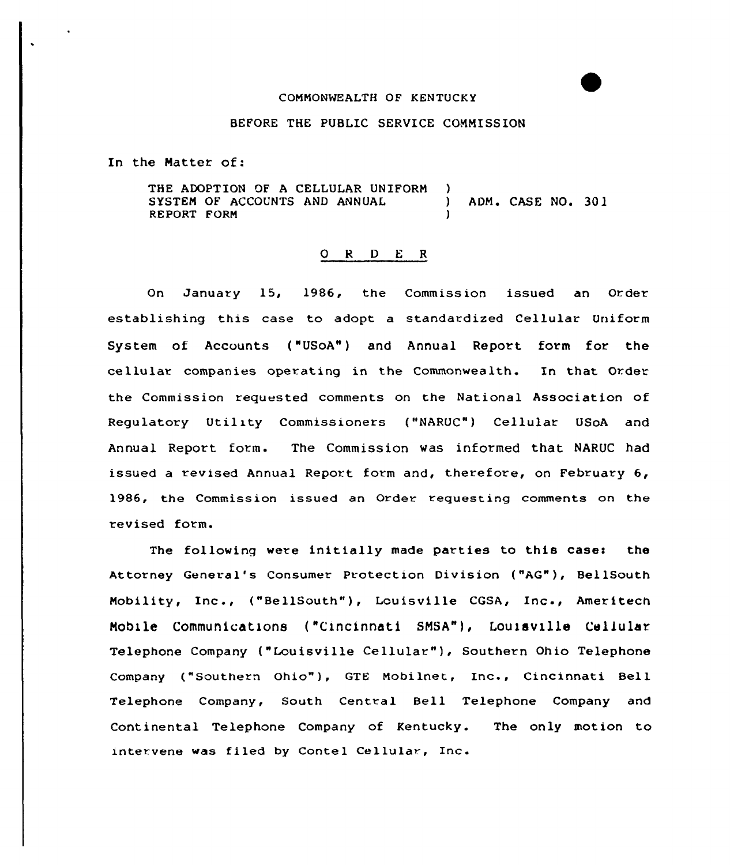## COMMONWEALTH OF KENTUCKY

## BEFORE THE PUBLIC SERVICE CONNISSION

In the Hatter of:

THE ADOPTION OF A CELLULAR UNIFORM )<br>SYSTEM OF ACCOUNTS AND ANNUAL SYSTEM OF ACCOUNTS AND ANNUAL (and the case No. 301 RE PORT FORM )

## 0 <sup>R</sup> <sup>D</sup> <sup>E</sup> <sup>R</sup>

On January 15, 1986, the Commission issued an Order establishing this case to adopt a standardized Cellular Uniform System of Accounts ("USoA") and Annual Report form for the cellular companies operating in the Commonwealth. In that Order the Commission requested comments on the National Association of Regulatory Utility Commissioners ("NARUC") Cellular USoA and Annual Report form. The Commission was informed that NARUC had issued a revised Annual Report form and, therefore, on February 6, 1986, the Commission issued an Order requesting comments on the revised form.

The following were initially made parties to this casei the Attorney General's Consumer Protection Division ("AG"), BellSouth Mobility, Inc., ("BellSouth"), Louisville CGSA, Inc., Ameritec Nobble Communications {"Cincinnati SNSA"), Louisville Cellular Telephone Company ("Louisville Cellular" ), Southern Ohio Telephone Company ("Southern Ohio"), GTE Mobilnet, Inc., Cincinnati Bell Telephone Company, South Central Bell Telephone Company and Continental Telephone Company of Kentucky. The only motion to inter vene was fi led by Contel Cellular, Inc.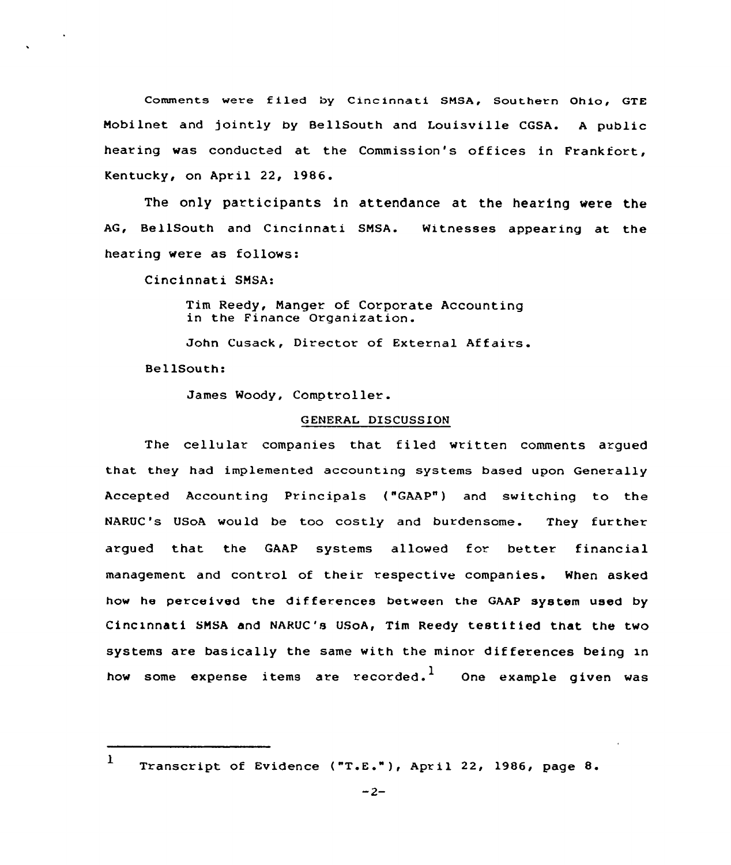Comments were filed by Cincinnati SMSA, Southern Ohio, GTE Nobilnet and jointly by BellSouth and Louisville CGSA. <sup>A</sup> public hearing was conducted at the Commission's of fices in Frankfort, Kentucky, on April 22, 1986.

The only participants in attendance at the hearing were the AG, BellSouth and Cincinnati SNSA. Witnesses appearing at the hearing were as follows:

Cincinnati SNSA:

Tim Reedy, Nanger of Corporate Accounting in the Finance Organization.

John Cusack, Director of External Affairs.

BellSouth:

James Woody, Comptroller.

## GENERAL DISCUSSION

The cellular companies that filed written comments argued that they had implemented accounting systems based upon Generally Accepted Accounting Principals ("GAAP") and switching to the NARUC's USoA would be too costly and burdensome. They further argued that the GAAP systems allowed for better financial management and control of their respective companies. When asked how he perceived the differences between the GAAP system used by Cincinnati SMSA and NARUC's USoA, Tim Reedy testified that the two systems are basically the same with the minor dif ferences being in how some expense items are recorded. $^{\mathbf{l}}$  . One example given was

 $\mathbf{I}$ Transcript of Evidence ("T.E."), April 22, l986, page 8.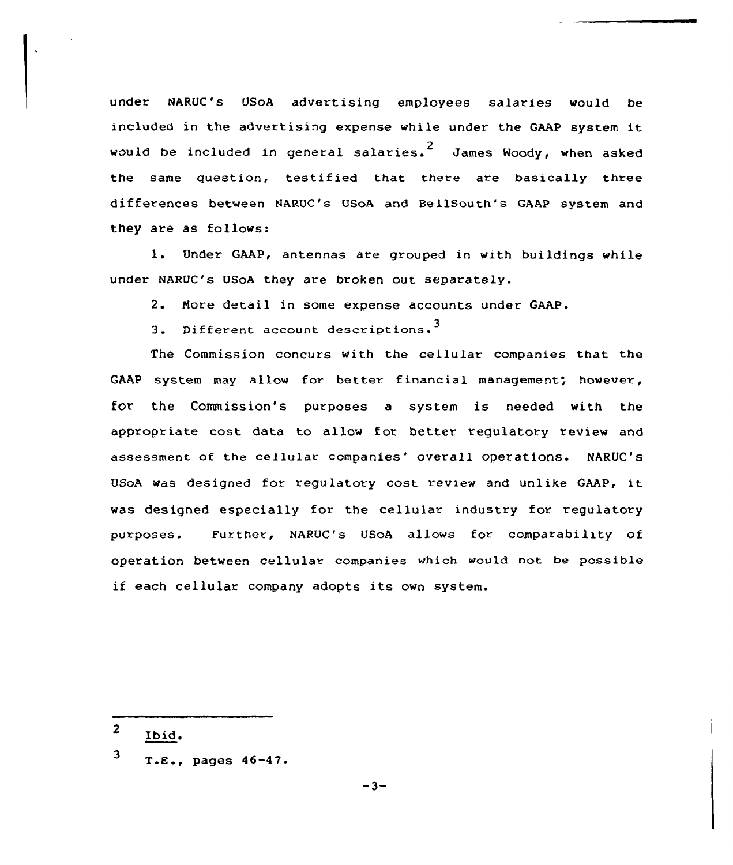under NARUC's USoA advertising employees salaries would be included in the advertising expense while under the GAAP system it would be included in general salaries.<sup>2</sup> James Woody, when asked the same question, testified that there are basically three differences between NARUC's USoA and BellSouth's GAAP system and they are as follows:

l. Under GAAP, antennas are grouped in with buildings while under NARUC's USoA they are broken out separately.

2. Nore detail in some expense accounts under GAAP.

3. Different account descriptions.<sup>3</sup>

The Commission concurs with the cellular companies that the GAAP system may allow for better financial management; however, for the Commission's purposes a system is needed with the appropriate cost data to allow for better regulatory review and assessment of the cellular companies' overall operations. NARUC's USoA was designed for regulatory cost review and unlike GAAP, it was designed especially for the cellular industry for regulatory purposes. Further, NARUC's USoA allows for comparability of operation between cellular companies which would not be possible if each cellular company adopts its own system.

- $\overline{2}$ Ibid.
- $3$  T.E., pages  $46-47$ .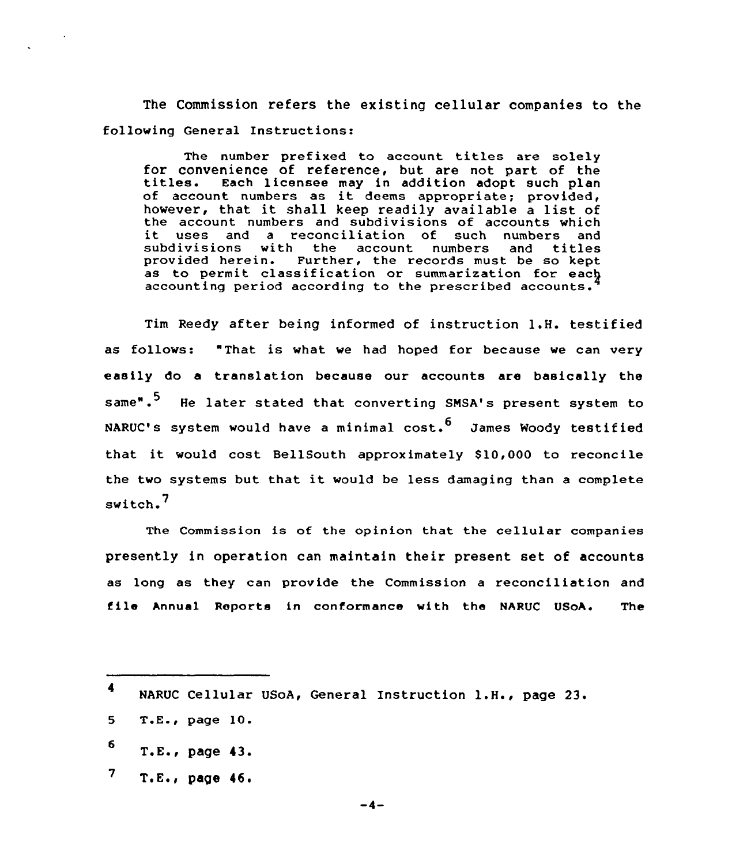The Commission refers the existing cellular companies to the following General Instructions:

The number prefixed to account titles are solely for convenience of reference, but are not part of the titles. Each licensee may in addition adopt such plan of account numbers as it deems appropriate; provided, however, that it shall keep readily available a list of the account numbers and subdivisions of accounts which it uses and a reconciliation of such numbers and<br>subdivisions with the account numbers and titles subdivisions with the account numbers<br>provided herein. Further, the records mus Further, the records must be so kept as to permit classification or summarization for each accounting period accordinq to the prescribed accounts.

Tim Reedy after being informed of instruction 1.H. testified as follows: "That is what we had hoped for because we can very easily do a translation because our accounts are basically the same".<sup>5</sup> He later stated that converting SMSA's present system to NARUC's system would have a minimal  $cost.^6$  James Woody testified that it would cost BellSouth approximately 810,000 to reconcile the two systems but that it would be less damaging than <sup>a</sup> complete switch.<sup>7</sup>

The Commission is of the opinion that the cellular companies presently in operation can maintain their present set of accounts as long as they can provide the Commission a reconciliation and file Annual Reports in conformance with the NARUC USoA. The

 $7$  T.E., page 46.

 $-4-$ 

<sup>4</sup> NARUC Cellular USoA, General Instruction 1.H., page 23.

<sup>5</sup> T.E., page 10.

 $6$  T.E., page 43.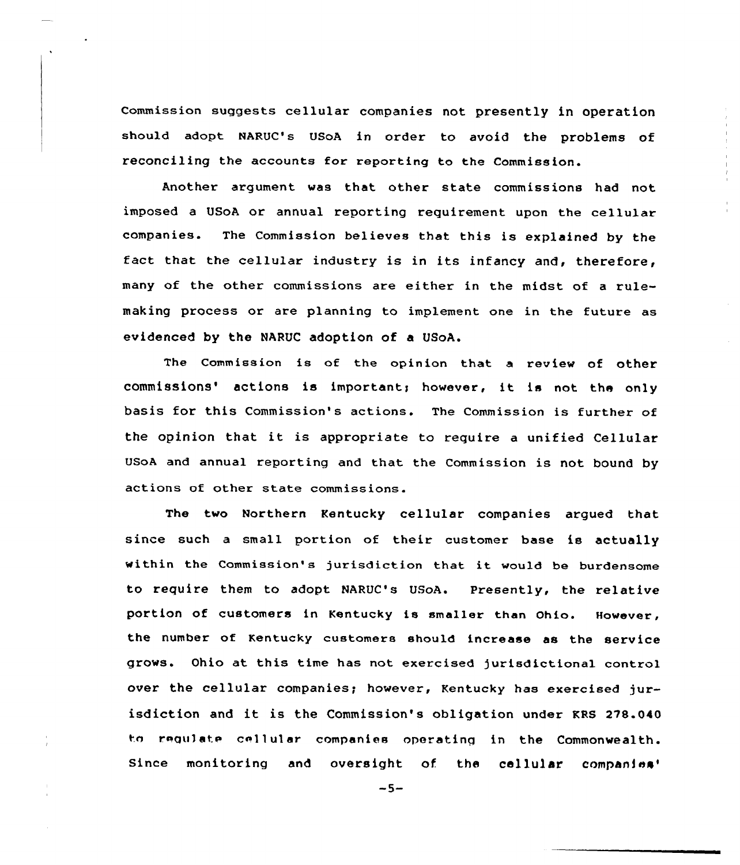Commission suggests cellular companies not presently in operation should adopt NARUC's USoA in order to avoid the problems of reconciling the accounts for reporting to the Commission.

Another argument was that other state commissions had not imposed a USoA or annual reporting requirement upon the cellular companies. The Commission believes that this is explained by the fact that the cellular industry is in its infancy and, therefore, many of the other commissions are either in the midst of a rulemaking process or are planning to implement one in the future as evidenced by the NARUC adoption of a USoA.

The Commission is of the opinion that <sup>a</sup> review of other commissions' actions is important; however, it is not the only basis for this Commission's actions. The Commission is further of the opinion that it is appropriate to require <sup>a</sup> unified Cellular USoA and annual reporting and that the Commission is not bound by actions of other state commissions.

The two Northern Kentucky cellular companies argued that since such a small portion of their customer base is actually within the Commission's jurisdiction that it would be burdensome to require them to adopt NARUC's USoA. Presently, the relative portion of customers in Kentucky is smaller than Ohio. However, the number of Kentucky customers should increase as the service grows. Ohio at this time has not exercised jurisdictional control over the cellular companies; however, Kentucky has exercised jurisdiction and it is the Commission's obligation under KRS 278.040 to requiate cellular companies operating in the Commonwealth. Since monitoring and oversight of. the cellular companies'

 $-5-$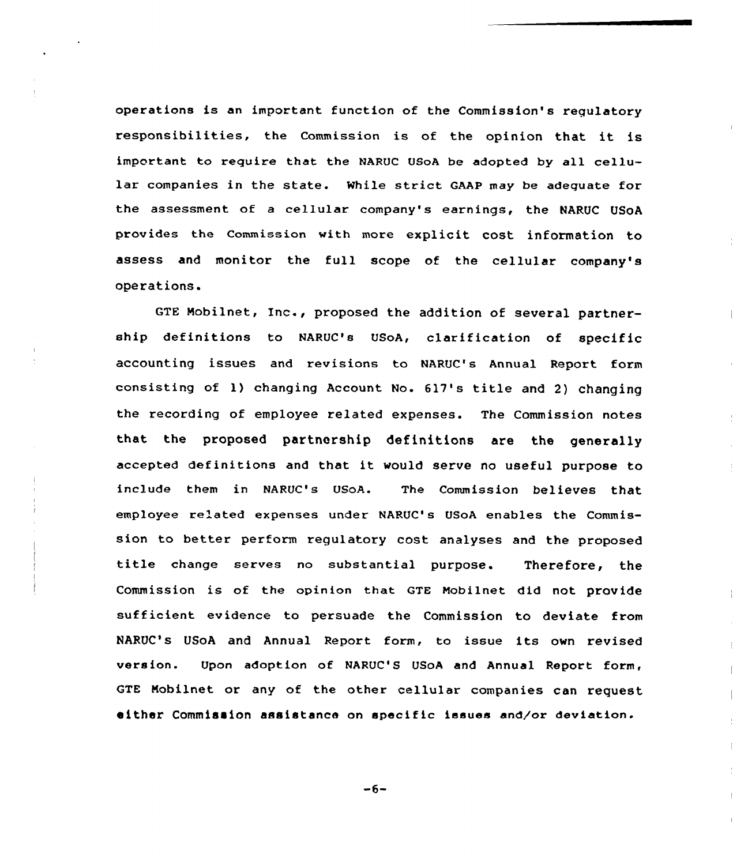operations is an important function of the Commission's regulatory responsibilities, the Commission is of the opinion that it is important to require that the NARUC 08oA be adopted by all cellular companies in the state. While strict GAAP may be adequate for the assessment of a cellular company's earnings, the NARUC USoA provides the Commission with more explicit cost information to assess and monitor the full scope of the cellular company's operations.

GTE Nobilnet, Inc., proposed the addition of several partnership definitions to NARUC's USoA, clarification of specific accounting issues and revisions to NARUC's Annual Report form consisting of 1) changing Account No. 617's title and 2) changing the recording of employee related expenses. The Commission notes that the proposed partnership definitions are the generally accepted definitions and that it would serve no useful purpose to include them in NARUC's USoA. The Commission believes that employee related expenses under NARUC's USoA enables the Commission to better perform regulatory cost analyses and the proposed title change serves no substantial purpose. Therefore, the Commission is of the opinion that QTE Mobilnet did not provide sufficient evidence to persuade the Commission to deviate from NARUC's USoA and Annual Report form, to issue its own revised version. Upon adoption of NARUC'S USoA and Annual Report form, GTE Nobilnet or any of the other cellular companies can request either Commission assistance on specific issues and/or deviation.

 $-6-$